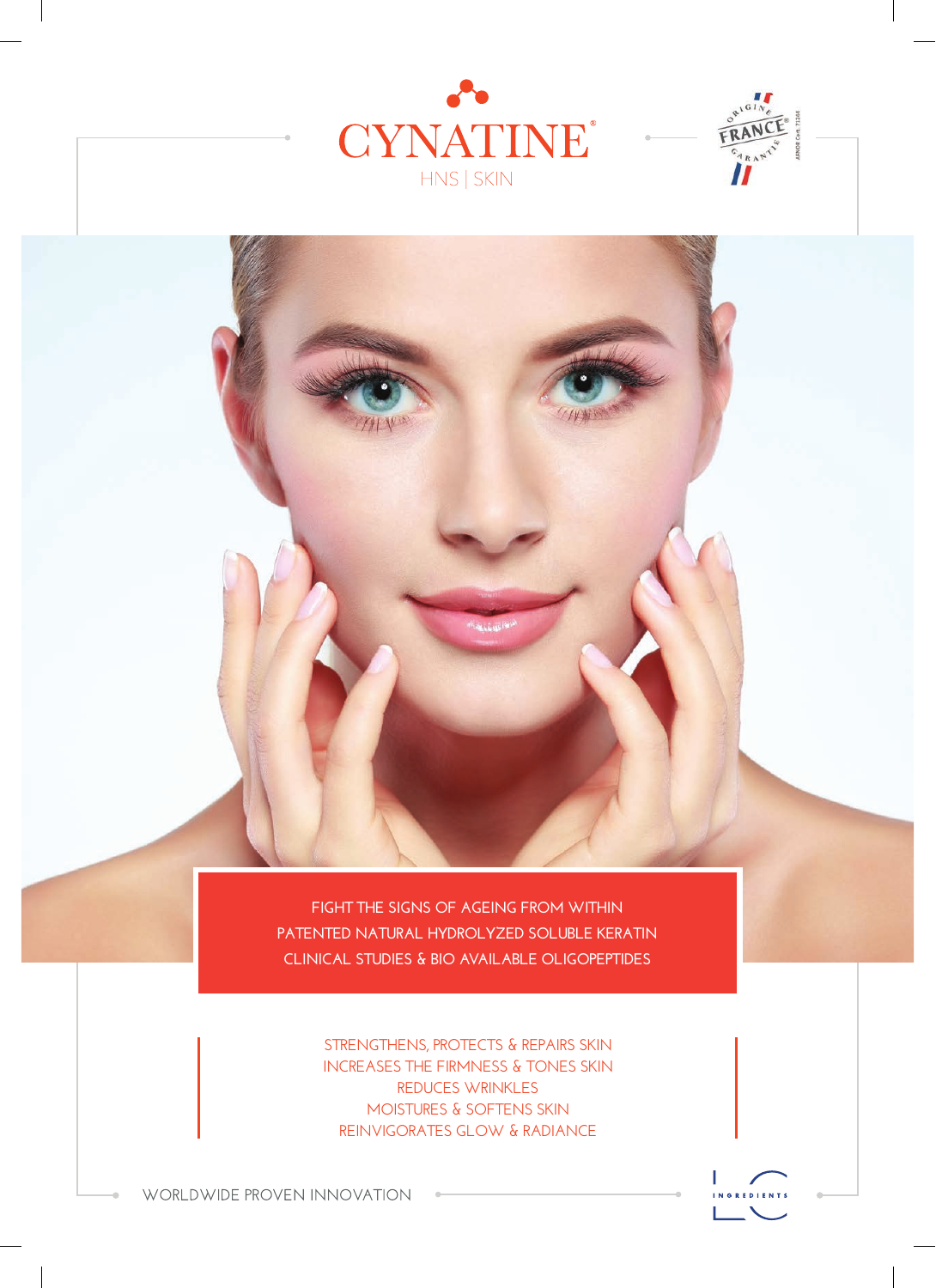



**FIGHT THE SIGNS OF AGEING FROM WITHIN PATENTED NATURAL HYDROLYZED SOLUBLE KERATIN CLINICAL STUDIES & BIO AVAILABLE OLIGOPEPTIDES** 

> **STRENGTHENS, PROTECTS & REPAIRS SKIN INCREASES THE FIRMNESS & TONES SKIN REDUCES WRINKLES MOISTURES & SOFTENS SKIN REINVIGORATES GLOW & RADIANCE**



WORLDWIDE PROVEN INNOVATION